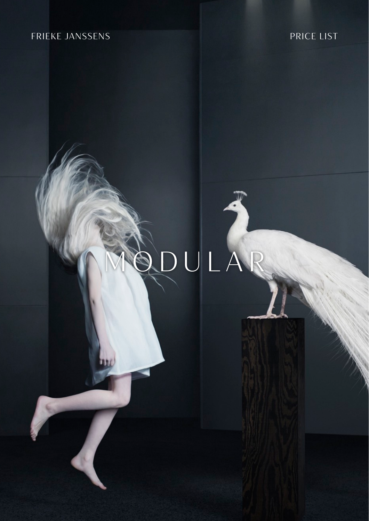## FRIEKE JANSSENS

MODULAR



## PRICE LIST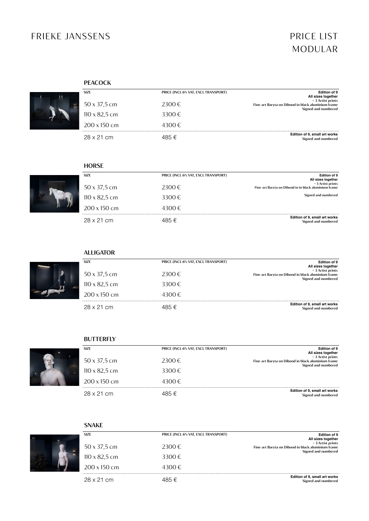## FRIEKE JANSSENS PRICE LIST

# MODULAR

| SIZE          | PRICE (INCL 6% VAT, EXCL TRANSPORT) | <b>Edition of 9</b><br>All sizes together                                                      |  |
|---------------|-------------------------------------|------------------------------------------------------------------------------------------------|--|
| 50 x 37,5 cm  | $2300 \in$                          | + 3 Artist prints<br>Fine-art Baryta on Dibond in black aluminium frame<br>Signed and numbered |  |
| 110 x 82,5 cm | $3300 \in$                          |                                                                                                |  |
| 200 x 150 cm  | $4300 \in$                          |                                                                                                |  |
| 28 x 21 cm    | 485€                                | <b>Edition of 9, small art works</b><br>Signed and numbered                                    |  |

#### **PEACOCK**



| <b>SIZE</b>                 | PRICE (INCL 6% VAT, EXCL TRANSPORT) | <b>Edition of 9</b><br>All sizes together                                  |  |  |
|-----------------------------|-------------------------------------|----------------------------------------------------------------------------|--|--|
| $50 \times 37,5 \text{ cm}$ | 2300€                               | + 3 Artist prints<br>Fine-art Baryta on Dibond in in black aluminium frame |  |  |
| $110 \times 82,5$ cm        | $3300 \in$                          | Signed and numbered                                                        |  |  |
| $200 \times 150$ cm         | 4300€                               |                                                                            |  |  |
| $28 \times 21$ cm           | 485 €                               | <b>Edition of 9, small art works</b><br>Signed and numbered                |  |  |



#### **HORSE**





| $50 \times 37,5 \text{ cm}$ | $2300 \in$ | An orloo togothol<br>+ 3 Artist prints<br>Fine-art Baryta on Dibond in black aluminium frame<br>Signed and numbered |
|-----------------------------|------------|---------------------------------------------------------------------------------------------------------------------|
| 110 x 82,5 cm               | $3300 \in$ |                                                                                                                     |
| $200 \times 150$ cm         | 4300€.     |                                                                                                                     |
| $28 \times 21$ cm           | 485 €      | <b>Edition of 9, small art works</b><br>Signed and numbered                                                         |

**SIZE**



### **BUTTERFLY**



| <b>SIZE</b>                                         | PRICE (INCL 6% VAT, EXCL TRANSPORT) | <b>Edition of 9</b>                                                                                                  |
|-----------------------------------------------------|-------------------------------------|----------------------------------------------------------------------------------------------------------------------|
| $50 \times 37,5 \text{ cm}$<br>$110 \times 82,5$ cm | $2300 \in$<br>$3300 \in$            | All sizes together<br>+ 3 Artist prints<br>Fine-art Baryta on Dibond in black aluminium frame<br>Signed and numbered |
| $200 \times 150$ cm                                 | $4300 \in$                          |                                                                                                                      |
| $28 \times 21$ cm                                   | 185 €                               | <b>Edition of 9, small art works</b><br>Signed and numbered                                                          |

| <b>Edition of 9</b>                                                                                                  | PRICE (INCL 6% VAT, EXCL TRANSPORT) | <b>SIZE</b>                 |
|----------------------------------------------------------------------------------------------------------------------|-------------------------------------|-----------------------------|
| All sizes together<br>+ 3 Artist prints<br>Fine-art Baryta on Dibond in black aluminium frame<br>Signed and numbered | 2300€                               | $50 \times 37,5 \text{ cm}$ |
|                                                                                                                      | $3300 \in$                          | $110 \times 82,5$ cm        |
|                                                                                                                      | $4300 \in$                          | $200 \times 150$ cm         |
| <b>Edition of 9, small art works</b><br>Signed and numbered                                                          | 485 €                               | 28 x 21 cm                  |

### **SNAKE**